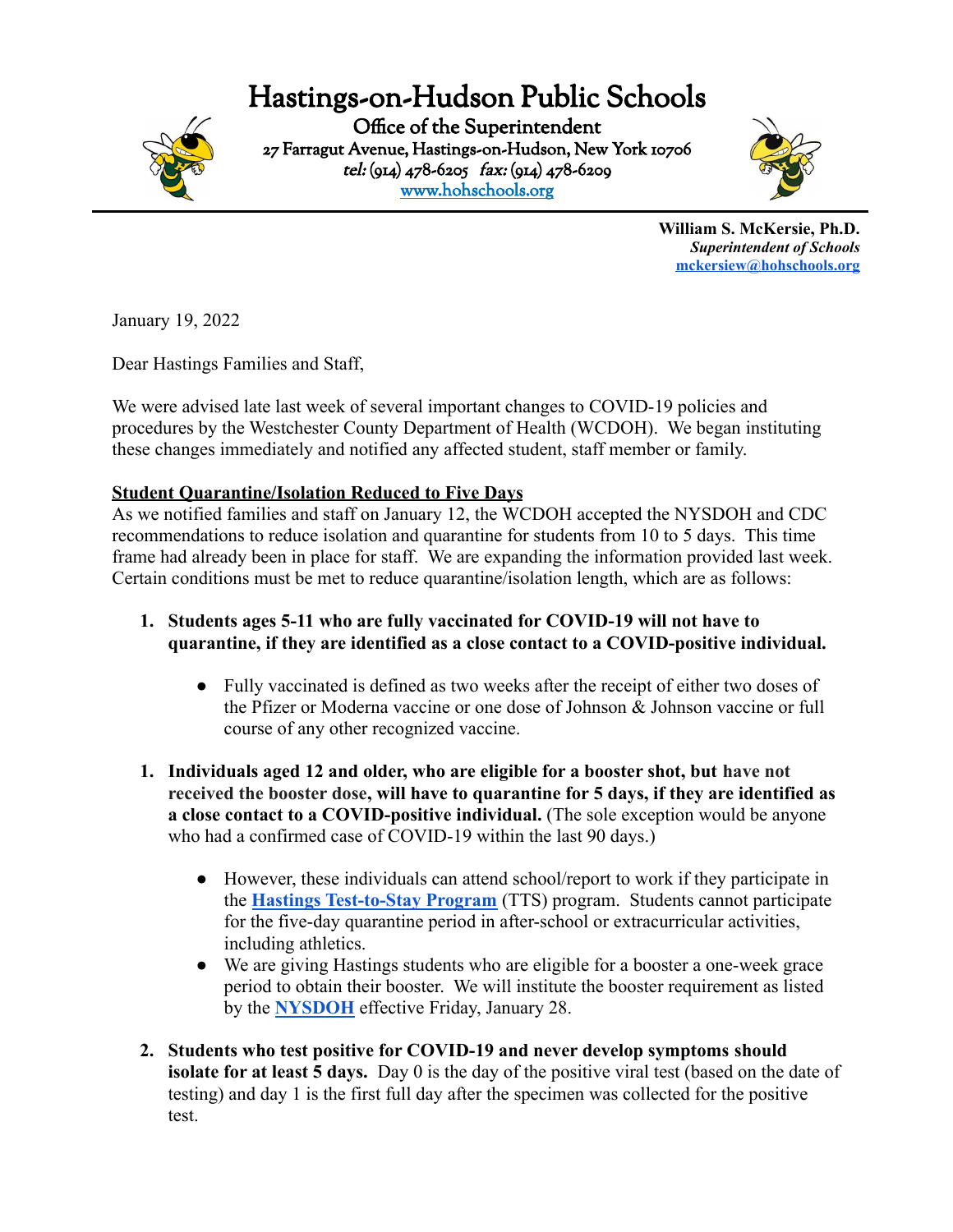# Hastings-on-Hudson Public Schools



Office of the Superintendent 27 Farragut Avenue, Hastings-on-Hudson, New York 10706 tel: (914) 478-6205 fax: (914) 478-6209 [www.hohschools.org](http://www.hohschools.org)



**William S. McKersie, Ph.D.** *Superintendent of Schools* **[mckersiew@hohschools.org](mailto:mckersiew@hohschools.org)**

January 19, 2022

Dear Hastings Families and Staff,

We were advised late last week of several important changes to COVID-19 policies and procedures by the Westchester County Department of Health (WCDOH). We began instituting these changes immediately and notified any affected student, staff member or family.

# **Student Quarantine/Isolation Reduced to Five Days**

As we notified families and staff on January 12, the WCDOH accepted the NYSDOH and CDC recommendations to reduce isolation and quarantine for students from 10 to 5 days. This time frame had already been in place for staff. We are expanding the information provided last week. Certain conditions must be met to reduce quarantine/isolation length, which are as follows:

- **1. Students ages 5-11 who are fully vaccinated for COVID-19 will not have to quarantine, if they are identified as a close contact to a COVID-positive individual.**
	- Fully vaccinated is defined as two weeks after the receipt of either two doses of the Pfizer or Moderna vaccine or one dose of Johnson & Johnson vaccine or full course of any other recognized vaccine.
- **1. Individuals aged 12 and older, who are eligible for a booster shot, but have not received the booster dose, will have to quarantine for 5 days, if they are identified as a close contact to a COVID-positive individual.** (The sole exception would be anyone who had a confirmed case of COVID-19 within the last 90 days.)
	- However, these individuals can attend school/report to work if they participate in the **[Hastings Test-to-Stay Program](https://drive.google.com/file/d/1nshVrFeLpmjhsOXNmRr_sox8snVQZ5Dr/view?usp=sharing)** (TTS) program. Students cannot participate for the five-day quarantine period in after-school or extracurricular activities, including athletics.
	- We are giving Hastings students who are eligible for a booster a one-week grace period to obtain their booster. We will institute the booster requirement as listed by the **[NYSDOH](https://drive.google.com/file/d/1AI43_HH5GVFkmPDz3NNh0QaWbCGwmhLt/view)** effective Friday, January 28.
- **2. Students who test positive for COVID-19 and never develop symptoms should isolate for at least 5 days.** Day 0 is the day of the positive viral test (based on the date of testing) and day 1 is the first full day after the specimen was collected for the positive test.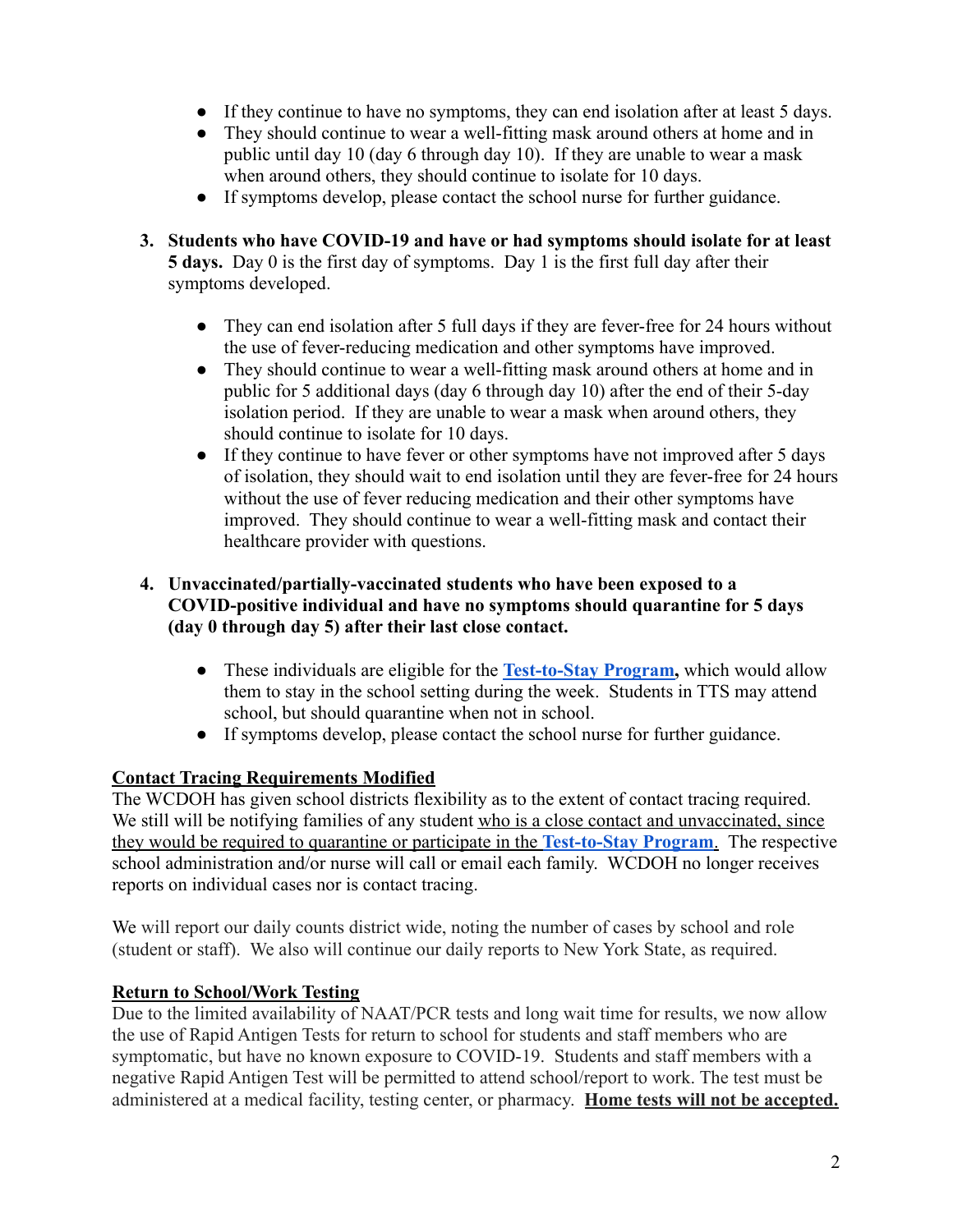- If they continue to have no symptoms, they can end isolation after at least 5 days.
- They should continue to wear a well-fitting mask around others at home and in public until day 10 (day 6 through day 10). If they are unable to wear a mask when around others, they should continue to isolate for 10 days.
- If symptoms develop, please contact the school nurse for further guidance.
- **3. Students who have COVID-19 and have or had symptoms should isolate for at least 5 days.** Day 0 is the first day of symptoms. Day 1 is the first full day after their symptoms developed.
	- They can end isolation after 5 full days if they are fever-free for 24 hours without the use of fever-reducing medication and other symptoms have improved.
	- They should continue to wear a well-fitting mask around others at home and in public for 5 additional days (day 6 through day 10) after the end of their 5-day isolation period. If they are unable to wear a mask when around others, they should continue to isolate for 10 days.
	- If they continue to have fever or other symptoms have not improved after 5 days of isolation, they should wait to end isolation until they are fever-free for 24 hours without the use of fever reducing medication and their other symptoms have improved. They should continue to wear a well-fitting mask and contact their healthcare provider with questions.

#### **4. Unvaccinated/partially-vaccinated students who have been exposed to a COVID-positive individual and have no symptoms should quarantine for 5 days (day 0 through day 5) after their last close contact.**

- These individuals are eligible for the **[Test-to-Stay](https://drive.google.com/file/d/1nshVrFeLpmjhsOXNmRr_sox8snVQZ5Dr/view?usp=sharing) Program,** which would allow them to stay in the school setting during the week. Students in TTS may attend school, but should quarantine when not in school.
- If symptoms develop, please contact the school nurse for further guidance.

## **Contact Tracing Requirements Modified**

The WCDOH has given school districts flexibility as to the extent of contact tracing required. We still will be notifying families of any student who is a close contact and unvaccinated, since they would be required to quarantine or participate in the **[Test-to-Stay Program](https://drive.google.com/file/d/1nshVrFeLpmjhsOXNmRr_sox8snVQZ5Dr/view?usp=sharing)**. The respective school administration and/or nurse will call or email each family. WCDOH no longer receives reports on individual cases nor is contact tracing.

We will report our daily counts district wide, noting the number of cases by school and role (student or staff). We also will continue our daily reports to New York State, as required.

#### **Return to School/Work Testing**

Due to the limited availability of NAAT/PCR tests and long wait time for results, we now allow the use of Rapid Antigen Tests for return to school for students and staff members who are symptomatic, but have no known exposure to COVID-19. Students and staff members with a negative Rapid Antigen Test will be permitted to attend school/report to work. The test must be administered at a medical facility, testing center, or pharmacy. **Home tests will not be accepted.**